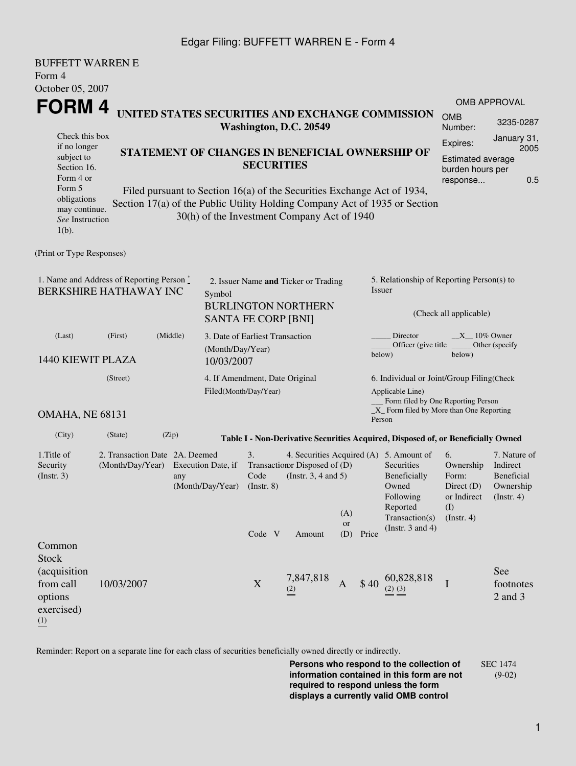### Edgar Filing: BUFFETT WARREN E - Form 4

| <b>BUFFETT WARREN E</b>                                                                           |                                                    |                                        |                                                                                                            |                                                         |                                                                                                                        |             |                                                                                                                           |                                                                                                                                                    |                                                                         |                             |  |  |
|---------------------------------------------------------------------------------------------------|----------------------------------------------------|----------------------------------------|------------------------------------------------------------------------------------------------------------|---------------------------------------------------------|------------------------------------------------------------------------------------------------------------------------|-------------|---------------------------------------------------------------------------------------------------------------------------|----------------------------------------------------------------------------------------------------------------------------------------------------|-------------------------------------------------------------------------|-----------------------------|--|--|
| Form 4                                                                                            |                                                    |                                        |                                                                                                            |                                                         |                                                                                                                        |             |                                                                                                                           |                                                                                                                                                    |                                                                         |                             |  |  |
| October 05, 2007                                                                                  |                                                    |                                        |                                                                                                            |                                                         |                                                                                                                        |             |                                                                                                                           |                                                                                                                                                    |                                                                         | <b>OMB APPROVAL</b>         |  |  |
| FORM 4                                                                                            |                                                    |                                        |                                                                                                            |                                                         | UNITED STATES SECURITIES AND EXCHANGE COMMISSION<br>Washington, D.C. 20549                                             |             |                                                                                                                           |                                                                                                                                                    | <b>OMB</b><br>Number:                                                   | 3235-0287                   |  |  |
| Check this box                                                                                    |                                                    |                                        |                                                                                                            |                                                         | Expires:                                                                                                               | January 31, |                                                                                                                           |                                                                                                                                                    |                                                                         |                             |  |  |
| if no longer<br>subject to<br>Section 16.<br>Form 4 or                                            |                                                    | <b>SECURITIES</b>                      | STATEMENT OF CHANGES IN BENEFICIAL OWNERSHIP OF                                                            |                                                         | 2005<br>Estimated average<br>burden hours per<br>0.5<br>response                                                       |             |                                                                                                                           |                                                                                                                                                    |                                                                         |                             |  |  |
| Form 5<br>obligations<br>may continue.<br>See Instruction<br>$1(b)$ .                             |                                                    |                                        |                                                                                                            |                                                         | Filed pursuant to Section 16(a) of the Securities Exchange Act of 1934,<br>30(h) of the Investment Company Act of 1940 |             |                                                                                                                           | Section 17(a) of the Public Utility Holding Company Act of 1935 or Section                                                                         |                                                                         |                             |  |  |
| (Print or Type Responses)                                                                         |                                                    |                                        |                                                                                                            |                                                         |                                                                                                                        |             |                                                                                                                           |                                                                                                                                                    |                                                                         |                             |  |  |
| 1. Name and Address of Reporting Person $\stackrel{*}{\text{-}}$<br><b>BERKSHIRE HATHAWAY INC</b> |                                                    |                                        | 2. Issuer Name and Ticker or Trading<br>Symbol<br><b>BURLINGTON NORTHERN</b><br><b>SANTA FE CORP [BNI]</b> |                                                         |                                                                                                                        |             |                                                                                                                           | 5. Relationship of Reporting Person(s) to<br><i>Issuer</i><br>(Check all applicable)                                                               |                                                                         |                             |  |  |
|                                                                                                   |                                                    | (Middle)                               |                                                                                                            |                                                         |                                                                                                                        |             |                                                                                                                           | Director<br>$X = 10\%$ Owner                                                                                                                       |                                                                         |                             |  |  |
| (Last)<br>(First)<br>1440 KIEWIT PLAZA                                                            |                                                    |                                        | (Month/Day/Year)<br>10/03/2007                                                                             | 3. Date of Earliest Transaction                         |                                                                                                                        |             |                                                                                                                           | Officer (give title)<br>Other (specify<br>below)<br>below)                                                                                         |                                                                         |                             |  |  |
| (Street)                                                                                          |                                                    |                                        |                                                                                                            | 4. If Amendment, Date Original<br>Filed(Month/Day/Year) |                                                                                                                        |             |                                                                                                                           | 6. Individual or Joint/Group Filing(Check<br>Applicable Line)<br>Form filed by One Reporting Person<br>$\_X$ Form filed by More than One Reporting |                                                                         |                             |  |  |
| <b>OMAHA, NE 68131</b>                                                                            |                                                    |                                        |                                                                                                            |                                                         |                                                                                                                        |             |                                                                                                                           | Person                                                                                                                                             |                                                                         |                             |  |  |
| (City)                                                                                            | (State)                                            | (Zip)                                  |                                                                                                            |                                                         |                                                                                                                        |             |                                                                                                                           | Table I - Non-Derivative Securities Acquired, Disposed of, or Beneficially Owned                                                                   |                                                                         |                             |  |  |
| 1. Title of<br>Security<br>(Insert. 3)                                                            | 2. Transaction Date 2A. Deemed<br>(Month/Day/Year) | Execution Date, if<br>(Month/Day/Year) | 3.<br>Code<br>$($ Instr. $8)$                                                                              | Transaction Disposed of (D)<br>(Instr. $3, 4$ and $5$ ) | (A)<br>or                                                                                                              |             | 4. Securities Acquired (A) 5. Amount of<br>Securities<br>Beneficially<br>Owned<br>Following<br>Reported<br>Transaction(s) | 6.<br>Ownership<br>Form:<br>Direct $(D)$<br>or Indirect<br>(I)<br>(Instr. 4)                                                                       | 7. Nature of<br>Indirect<br>Beneficial<br>Ownership<br>$($ Instr. 4 $)$ |                             |  |  |
|                                                                                                   |                                                    |                                        |                                                                                                            | Code V                                                  | Amount                                                                                                                 | (D)         | Price                                                                                                                     | (Instr. $3$ and $4$ )                                                                                                                              |                                                                         |                             |  |  |
| Common<br><b>Stock</b><br>(acquisition<br>from call<br>options<br>exercised)<br>$\overline{1}$    | 10/03/2007                                         |                                        |                                                                                                            | $\mathbf X$                                             | 7,847,818<br>(2)                                                                                                       | A           | \$40                                                                                                                      | 60,828,818<br>$(2)$ $(3)$                                                                                                                          | I                                                                       | See<br>footnotes<br>2 and 3 |  |  |

Reminder: Report on a separate line for each class of securities beneficially owned directly or indirectly.

**Persons who respond to the collection of information contained in this form are not required to respond unless the form displays a currently valid OMB control** SEC 1474 (9-02)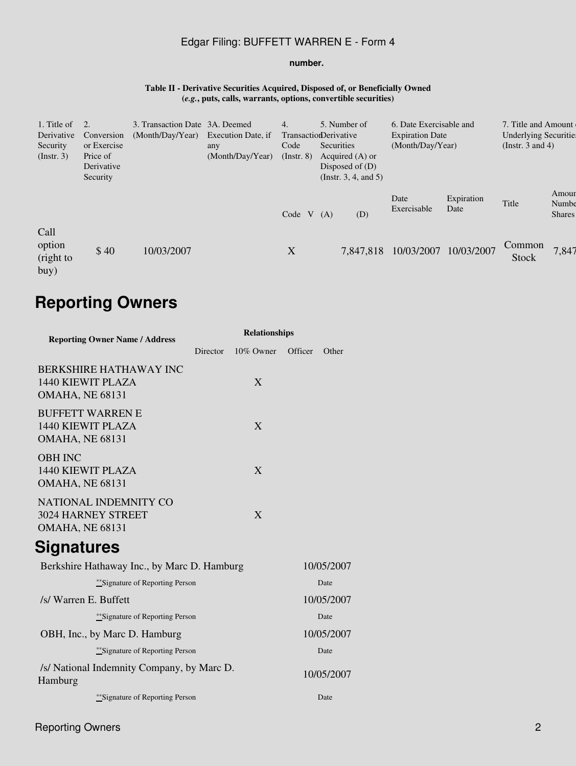## Edgar Filing: BUFFETT WARREN E - Form 4

#### **number.**

#### **Table II - Derivative Securities Acquired, Disposed of, or Beneficially Owned (***e.g.***, puts, calls, warrants, options, convertible securities)**

| 1. Title of<br>Derivative<br>Security<br>$($ Instr. 3 $)$ | Conversion<br>or Exercise<br>Price of<br>Derivative<br>Security | 3. Transaction Date 3A. Deemed<br>(Month/Day/Year) | Execution Date, if<br>any<br>(Month/Day/Year) | 4.<br><b>TransactionDerivative</b><br>Code<br>$($ Instr. $8)$ | 5. Number of<br>Securities<br>Acquired $(A)$ or<br>Disposed of $(D)$<br>(Instr. 3, 4, and 5) | 6. Date Exercisable and<br><b>Expiration Date</b><br>(Month/Day/Year) |                    | 7. Title and Amount<br><b>Underlying Securities</b><br>(Instr. $3$ and $4$ ) |                                 |
|-----------------------------------------------------------|-----------------------------------------------------------------|----------------------------------------------------|-----------------------------------------------|---------------------------------------------------------------|----------------------------------------------------------------------------------------------|-----------------------------------------------------------------------|--------------------|------------------------------------------------------------------------------|---------------------------------|
|                                                           |                                                                 |                                                    |                                               | Code $V(A)$                                                   | (D)                                                                                          | Date<br>Exercisable                                                   | Expiration<br>Date | Title                                                                        | Amour<br>Numbe<br><b>Shares</b> |
| Call<br>option<br>(right to<br>buy)                       | \$40                                                            | 10/03/2007                                         |                                               | $\boldsymbol{\mathrm{X}}$                                     | 7,847,818                                                                                    | 10/03/2007                                                            | 10/03/2007         | Common<br>Stock                                                              | 7,847                           |

# **Reporting Owners**

| <b>Reporting Owner Name / Address</b>                                  | <b>Relationships</b> |           |            |            |  |  |  |  |
|------------------------------------------------------------------------|----------------------|-----------|------------|------------|--|--|--|--|
|                                                                        | Director             | 10% Owner | Officer    | Other      |  |  |  |  |
| <b>BERKSHIRE HATHAWAY INC</b><br>1440 KIEWIT PLAZA<br>OMAHA, NE 68131  |                      | X         |            |            |  |  |  |  |
| <b>BUFFETT WARREN E</b><br>1440 KIEWIT PLAZA<br><b>OMAHA, NE 68131</b> |                      | X         |            |            |  |  |  |  |
| <b>OBH INC</b><br>1440 KIEWIT PLAZA<br><b>OMAHA, NE 68131</b>          |                      | X         |            |            |  |  |  |  |
| NATIONAL INDEMNITY CO<br>3024 HARNEY STREET<br><b>OMAHA, NE 68131</b>  |                      | X         |            |            |  |  |  |  |
| Signatures                                                             |                      |           |            |            |  |  |  |  |
| Berkshire Hathaway Inc., by Marc D. Hamburg                            |                      |           |            | 10/05/2007 |  |  |  |  |
| **Signature of Reporting Person                                        |                      |           |            | Date       |  |  |  |  |
| /s/ Warren E. Buffett                                                  |                      |           | 10/05/2007 |            |  |  |  |  |
| **Signature of Reporting Person                                        |                      |           |            | Date       |  |  |  |  |
| OBH, Inc., by Marc D. Hamburg                                          |                      |           |            | 10/05/2007 |  |  |  |  |
| **Signature of Reporting Person                                        |                      |           |            | Date       |  |  |  |  |
| /s/ National Indemnity Company, by Marc D.<br>Hamburg                  |                      |           |            | 10/05/2007 |  |  |  |  |
| **Signature of Reporting Person                                        |                      |           |            | Date       |  |  |  |  |